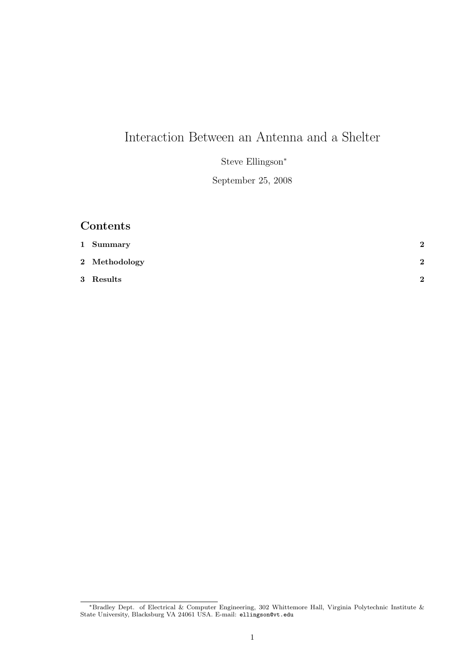# Interaction Between an Antenna and a Shelter

Steve Ellingson<sup>∗</sup>

September 25, 2008

## Contents

| 1 Summary     | $\mathbf{2}$     |
|---------------|------------------|
| 2 Methodology | $\boldsymbol{2}$ |
| 3 Results     | $\mathbf{r}$     |

<sup>∗</sup>Bradley Dept. of Electrical & Computer Engineering, 302 Whittemore Hall, Virginia Polytechnic Institute & State University, Blacksburg VA 24061 USA. E-mail: ellingson@vt.edu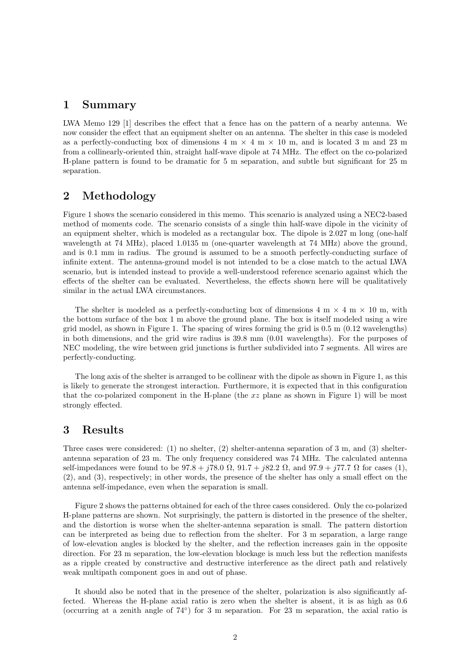#### 1 Summary

LWA Memo 129 [1] describes the effect that a fence has on the pattern of a nearby antenna. We now consider the effect that an equipment shelter on an antenna. The shelter in this case is modeled as a perfectly-conducting box of dimensions  $4 \text{ m} \times 4 \text{ m} \times 10 \text{ m}$ , and is located 3 m and 23 m from a collinearly-oriented thin, straight half-wave dipole at 74 MHz. The effect on the co-polarized H-plane pattern is found to be dramatic for 5 m separation, and subtle but significant for 25 m separation.

### 2 Methodology

Figure 1 shows the scenario considered in this memo. This scenario is analyzed using a NEC2-based method of moments code. The scenario consists of a single thin half-wave dipole in the vicinity of an equipment shelter, which is modeled as a rectangular box. The dipole is 2.027 m long (one-half wavelength at 74 MHz), placed 1.0135 m (one-quarter wavelength at 74 MHz) above the ground, and is 0.1 mm in radius. The ground is assumed to be a smooth perfectly-conducting surface of infinite extent. The antenna-ground model is not intended to be a close match to the actual LWA scenario, but is intended instead to provide a well-understood reference scenario against which the effects of the shelter can be evaluated. Nevertheless, the effects shown here will be qualitatively similar in the actual LWA circumstances.

The shelter is modeled as a perfectly-conducting box of dimensions  $4 \text{ m} \times 4 \text{ m} \times 10 \text{ m}$ , with the bottom surface of the box 1 m above the ground plane. The box is itself modeled using a wire grid model, as shown in Figure 1. The spacing of wires forming the grid is 0.5 m (0.12 wavelengths) in both dimensions, and the grid wire radius is 39.8 mm (0.01 wavelengths). For the purposes of NEC modeling, the wire between grid junctions is further subdivided into 7 segments. All wires are perfectly-conducting.

The long axis of the shelter is arranged to be collinear with the dipole as shown in Figure 1, as this is likely to generate the strongest interaction. Furthermore, it is expected that in this configuration that the co-polarized component in the H-plane (the  $xz$  plane as shown in Figure 1) will be most strongly effected.

### 3 Results

Three cases were considered: (1) no shelter, (2) shelter-antenna separation of 3 m, and (3) shelterantenna separation of 23 m. The only frequency considered was 74 MHz. The calculated antenna self-impedances were found to be  $97.8 + j78.0 \Omega$ ,  $91.7 + j82.2 \Omega$ , and  $97.9 + j77.7 \Omega$  for cases (1), (2), and (3), respectively; in other words, the presence of the shelter has only a small effect on the antenna self-impedance, even when the separation is small.

Figure 2 shows the patterns obtained for each of the three cases considered. Only the co-polarized H-plane patterns are shown. Not surprisingly, the pattern is distorted in the presence of the shelter, and the distortion is worse when the shelter-antenna separation is small. The pattern distortion can be interpreted as being due to reflection from the shelter. For 3 m separation, a large range of low-elevation angles is blocked by the shelter, and the reflection increases gain in the opposite direction. For 23 m separation, the low-elevation blockage is much less but the reflection manifests as a ripple created by constructive and destructive interference as the direct path and relatively weak multipath component goes in and out of phase.

It should also be noted that in the presence of the shelter, polarization is also significantly affected. Whereas the H-plane axial ratio is zero when the shelter is absent, it is as high as 0.6 (occurring at a zenith angle of 74◦ ) for 3 m separation. For 23 m separation, the axial ratio is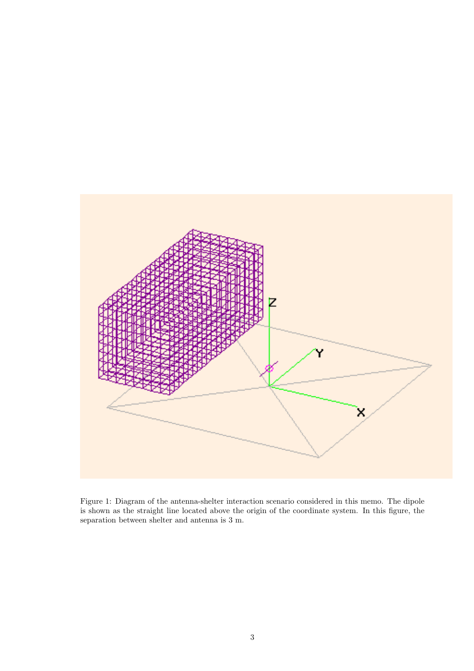

Figure 1: Diagram of the antenna-shelter interaction scenario considered in this memo. The dipole is shown as the straight line located above the origin of the coordinate system. In this figure, the separation between shelter and antenna is 3 m.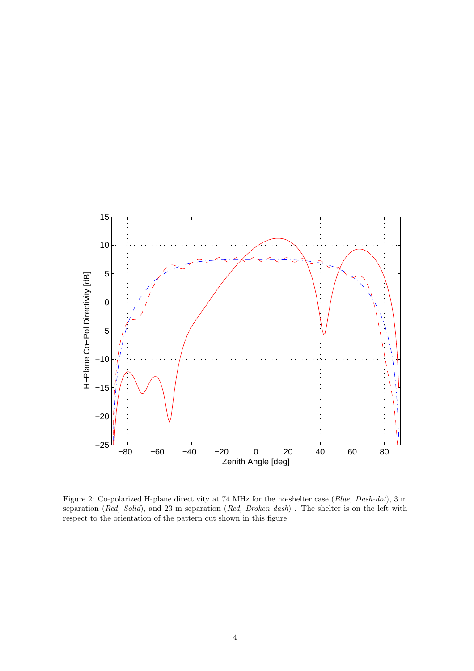

Figure 2: Co-polarized H-plane directivity at 74 MHz for the no-shelter case (Blue, Dash-dot), 3 m separation (Red, Solid), and 23 m separation (Red, Broken dash). The shelter is on the left with respect to the orientation of the pattern cut shown in this figure.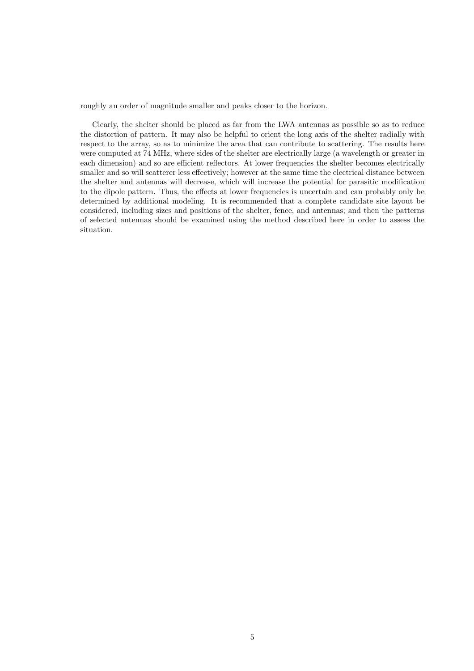roughly an order of magnitude smaller and peaks closer to the horizon.

Clearly, the shelter should be placed as far from the LWA antennas as possible so as to reduce the distortion of pattern. It may also be helpful to orient the long axis of the shelter radially with respect to the array, so as to minimize the area that can contribute to scattering. The results here were computed at 74 MHz, where sides of the shelter are electrically large (a wavelength or greater in each dimension) and so are efficient reflectors. At lower frequencies the shelter becomes electrically smaller and so will scatterer less effectively; however at the same time the electrical distance between the shelter and antennas will decrease, which will increase the potential for parasitic modification to the dipole pattern. Thus, the effects at lower frequencies is uncertain and can probably only be determined by additional modeling. It is recommended that a complete candidate site layout be considered, including sizes and positions of the shelter, fence, and antennas; and then the patterns of selected antennas should be examined using the method described here in order to assess the situation.